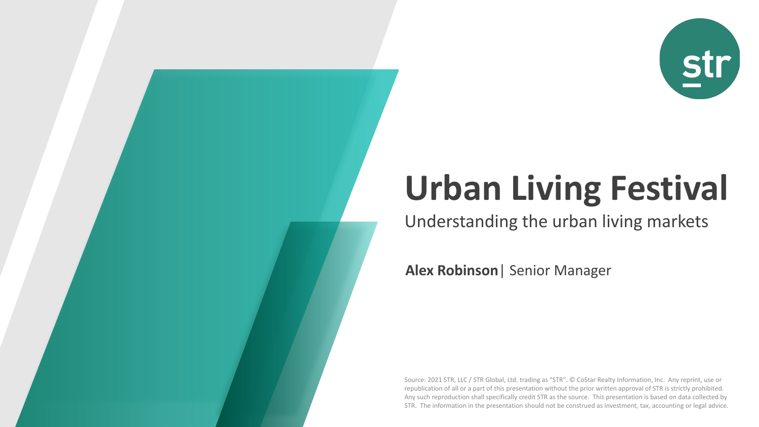

# **Urban Living Festival**

Understanding the urban living markets

**Alex Robinson**| Senior Manager

Source: 2021 STR, LLC / STR Global, Ltd. trading as "STR". © CoStar Realty Information, Inc. Any reprint, use or republication of all or a part of this presentation without the prior written approval of STR is strictly prohibited. Any such reproduction shall specifically credit STR as the source. This presentation is based on data collected by STR. The information in the presentation should not be construed as investment, tax, accounting or legal advice.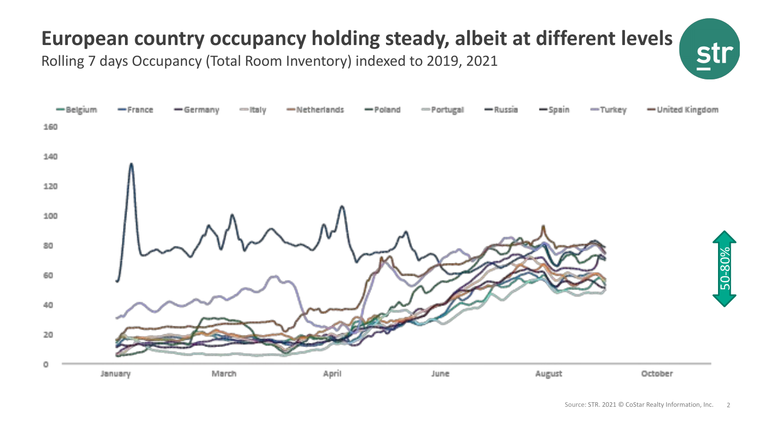# **European country occupancy holding steady, albeit at different levels**

Rolling 7 days Occupancy (Total Room Inventory) indexed to 2019, 2021



**st**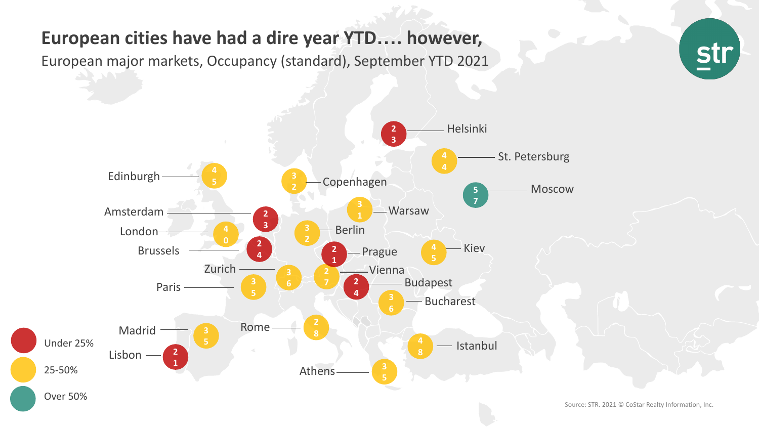#### **European cities have had a dire year YTD…. however,**

European major markets, Occupancy (standard), September YTD 2021





Source: STR. 2021 © CoStar Realty Information, Inc.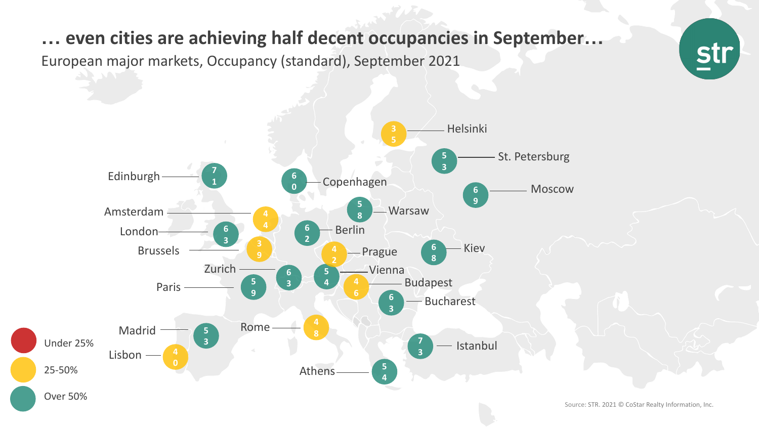#### **… even cities are achieving half decent occupancies in September…**

European major markets, Occupancy (standard), September 2021



str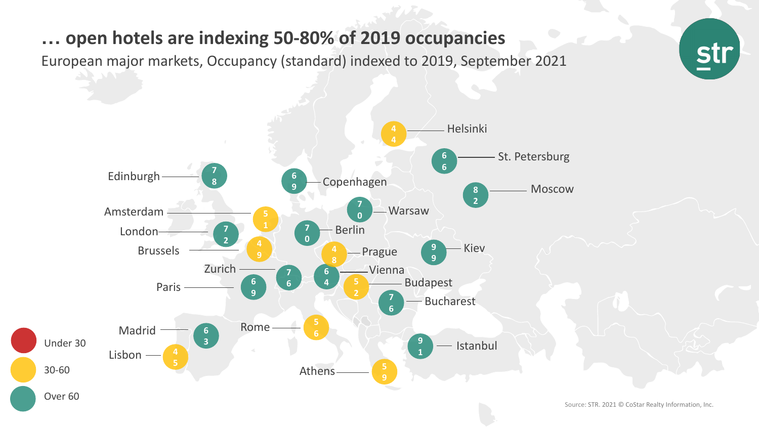#### **… open hotels are indexing 50-80% of 2019 occupancies**

European major markets, Occupancy (standard) indexed to 2019, September 2021



<u>str</u>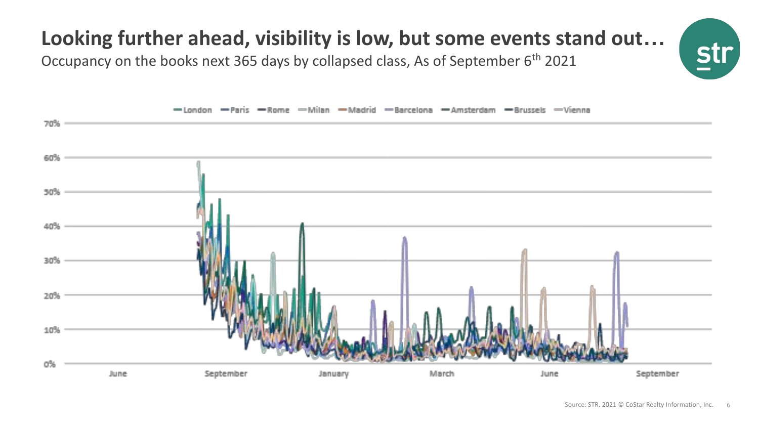# **Looking further ahead, visibility is low, but some events stand out…**

Occupancy on the books next 365 days by collapsed class, As of September  $6<sup>th</sup>$  2021

![](_page_5_Figure_2.jpeg)

<u>s</u>tı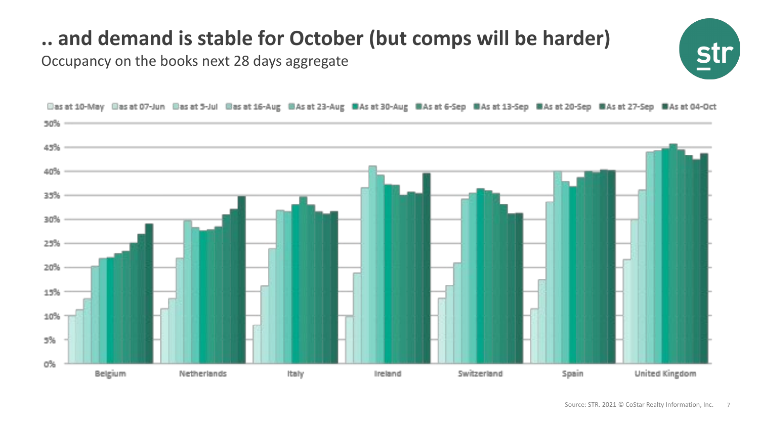## **.. and demand is stable for October (but comps will be harder)**

Occupancy on the books next 28 days aggregate

![](_page_6_Picture_2.jpeg)

![](_page_6_Figure_3.jpeg)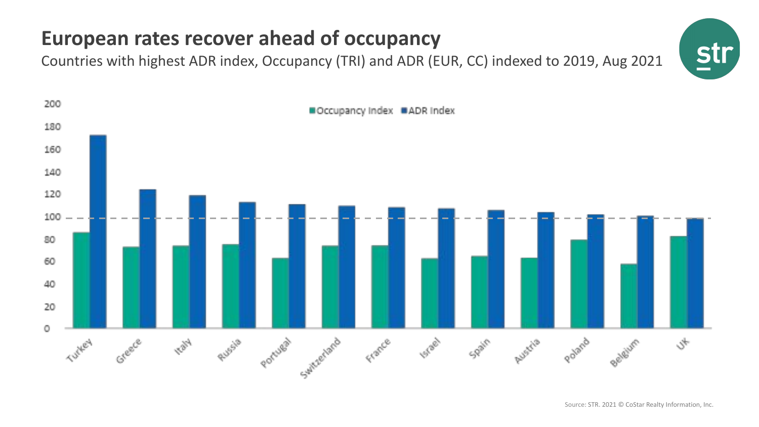## **European rates recover ahead of occupancy**

Countries with highest ADR index, Occupancy (TRI) and ADR (EUR, CC) indexed to 2019, Aug 2021

![](_page_7_Picture_2.jpeg)

![](_page_7_Figure_3.jpeg)

Source: STR. 2021 © CoStar Realty Information, Inc.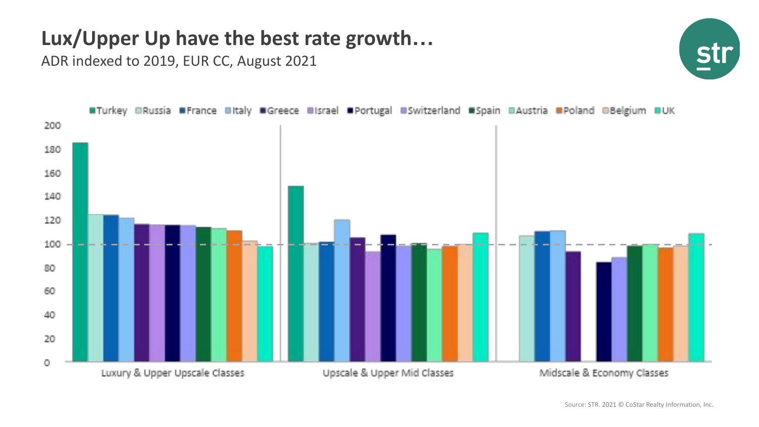#### **Lux/Upper Up have the best rate growth…**

ADR indexed to 2019, EUR CC, August 2021

![](_page_8_Figure_2.jpeg)

![](_page_8_Figure_3.jpeg)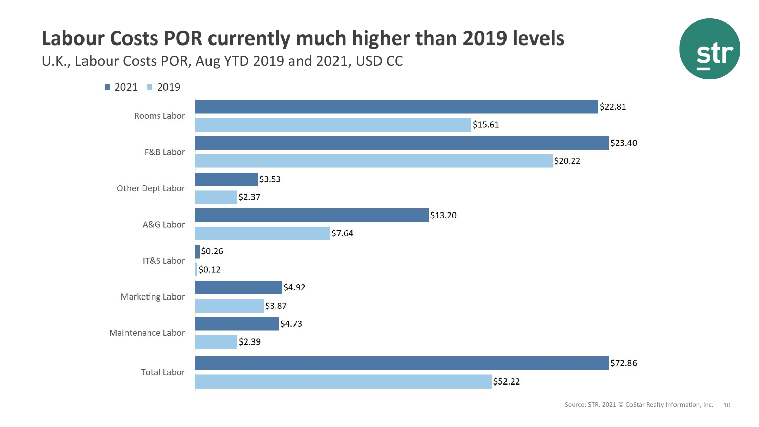# **Labour Costs POR currently much higher than 2019 levels**

U.K., Labour Costs POR, Aug YTD 2019 and 2021, USD CC

![](_page_9_Figure_2.jpeg)

![](_page_9_Picture_3.jpeg)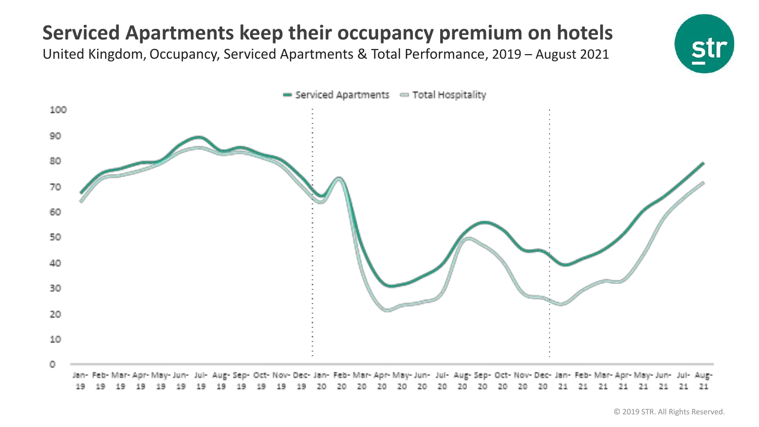## **Serviced Apartments keep their occupancy premium on hotels**

United Kingdom, Occupancy, Serviced Apartments & Total Performance, 2019 – August 2021

![](_page_10_Picture_2.jpeg)

![](_page_10_Figure_3.jpeg)

© 2019 STR. All Rights Reserved.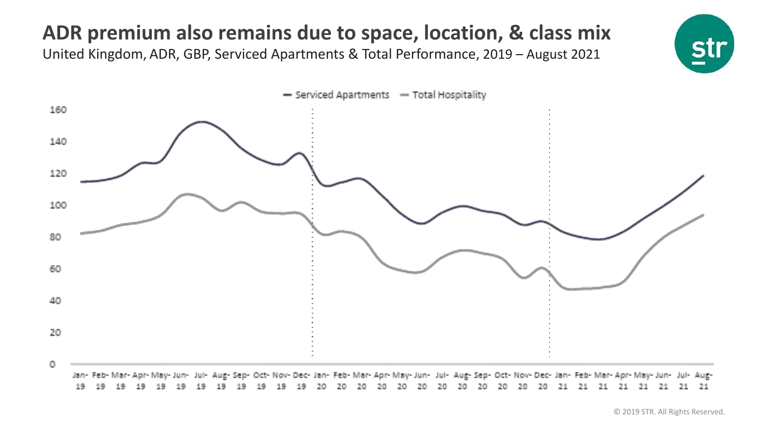## **ADR premium also remains due to space, location, & class mix**

United Kingdom, ADR, GBP, Serviced Apartments & Total Performance, 2019 – August 2021

![](_page_11_Picture_2.jpeg)

![](_page_11_Figure_3.jpeg)

© 2019 STR. All Rights Reserved.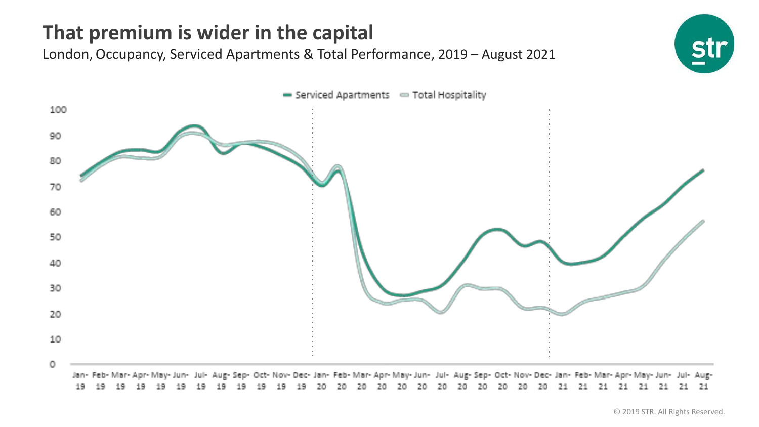## **That premium is wider in the capital**

London, Occupancy, Serviced Apartments & Total Performance, 2019 – August 2021

![](_page_12_Figure_2.jpeg)

**sti**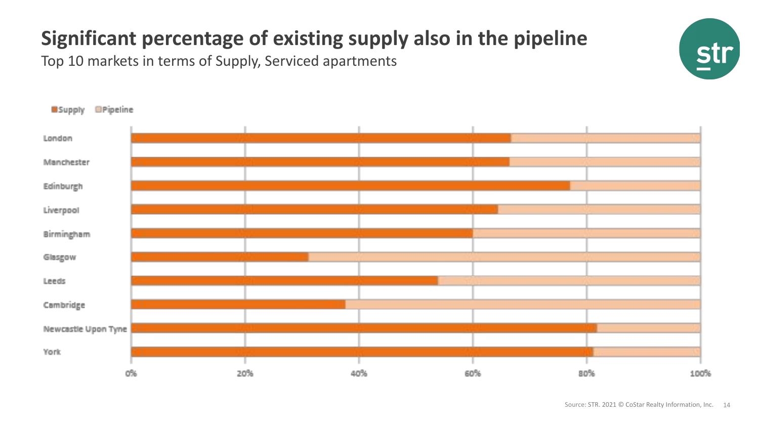# **Significant percentage of existing supply also in the pipeline**

Top 10 markets in terms of Supply, Serviced apartments

![](_page_13_Figure_2.jpeg)

str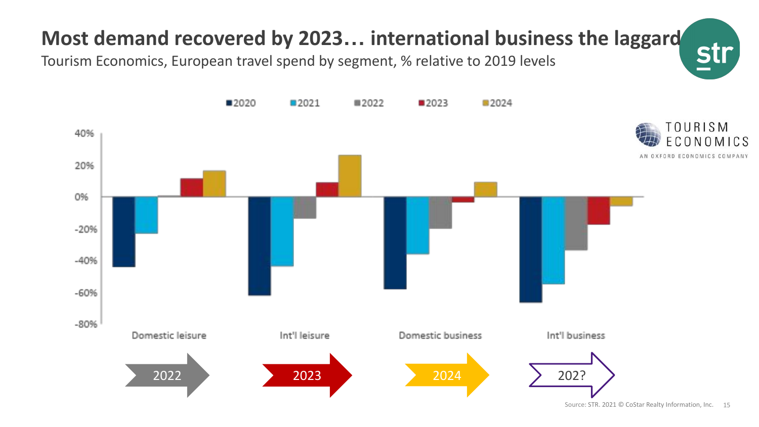![](_page_14_Picture_0.jpeg)